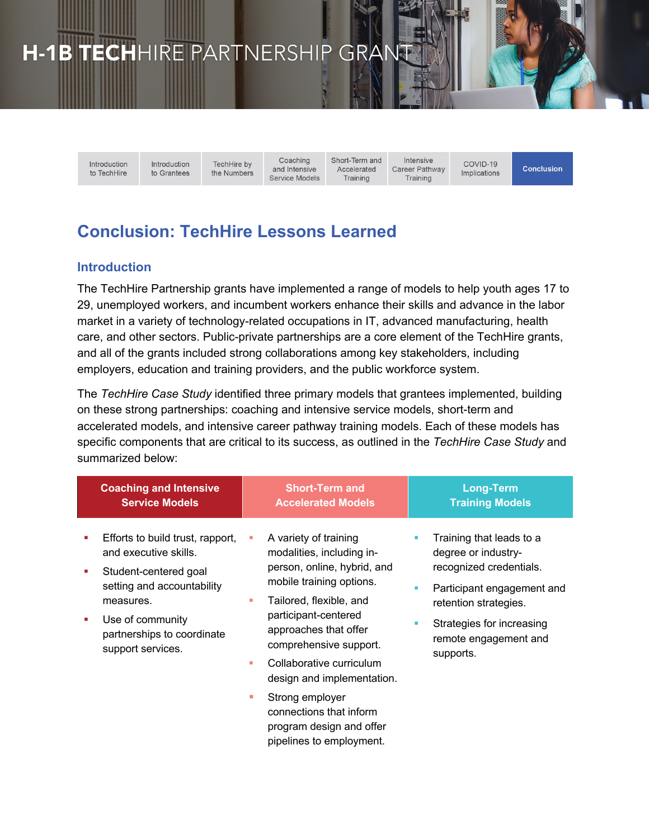# H-1B TECHHIRE PARTNERSHIP GRAN

Introduction to TechHire Introduction TechHire by to Grantees the Numbers

Coaching and Intensive Service Models Short-Term and Accelerated Training

Intensive Career Pathway Training

COVID-19 Implications

**Conclusion** 

# **Conclusion: TechHire Lessons Learned**

# **Introduction**

The TechHire Partnership grants have implemented a range of models to help youth ages 17 to 29, unemployed workers, and incumbent workers enhance their skills and advance in the labor market in a variety of technology-related occupations in IT, advanced manufacturing, health care, and other sectors. Public-private partnerships are a core element of the TechHire grants, and all of the grants included strong collaborations among key stakeholders, including employers, education and training providers, and the public workforce system.

The *TechHire Case Study* identified three primary models that grantees implemented, building on these strong partnerships: coaching and intensive service models, short-term and accelerated models, and intensive career pathway training models. Each of these models has specific components that are critical to its success, as outlined in the *TechHire Case Study* and summarized below:

|   | <b>Coaching and Intensive</b><br><b>Service Models</b>                                                                                                                                               |             | <b>Short-Term and</b><br><b>Accelerated Models</b>                                                                                                                                                                                                                            |   | <b>Long-Term</b><br><b>Training Models</b>                                                                                                                                                           |
|---|------------------------------------------------------------------------------------------------------------------------------------------------------------------------------------------------------|-------------|-------------------------------------------------------------------------------------------------------------------------------------------------------------------------------------------------------------------------------------------------------------------------------|---|------------------------------------------------------------------------------------------------------------------------------------------------------------------------------------------------------|
| ٠ | Efforts to build trust, rapport,<br>and executive skills.<br>Student-centered goal<br>setting and accountability<br>measures.<br>Use of community<br>partnerships to coordinate<br>support services. | ш<br>٠<br>٠ | A variety of training<br>modalities, including in-<br>person, online, hybrid, and<br>mobile training options.<br>Tailored, flexible, and<br>participant-centered<br>approaches that offer<br>comprehensive support.<br>Collaborative curriculum<br>design and implementation. | ٠ | Training that leads to a<br>degree or industry-<br>recognized credentials.<br>Participant engagement and<br>retention strategies.<br>Strategies for increasing<br>remote engagement and<br>supports. |
|   |                                                                                                                                                                                                      | ٠           | Strong employer<br>connections that inform<br>program design and offer<br>pipelines to employment.                                                                                                                                                                            |   |                                                                                                                                                                                                      |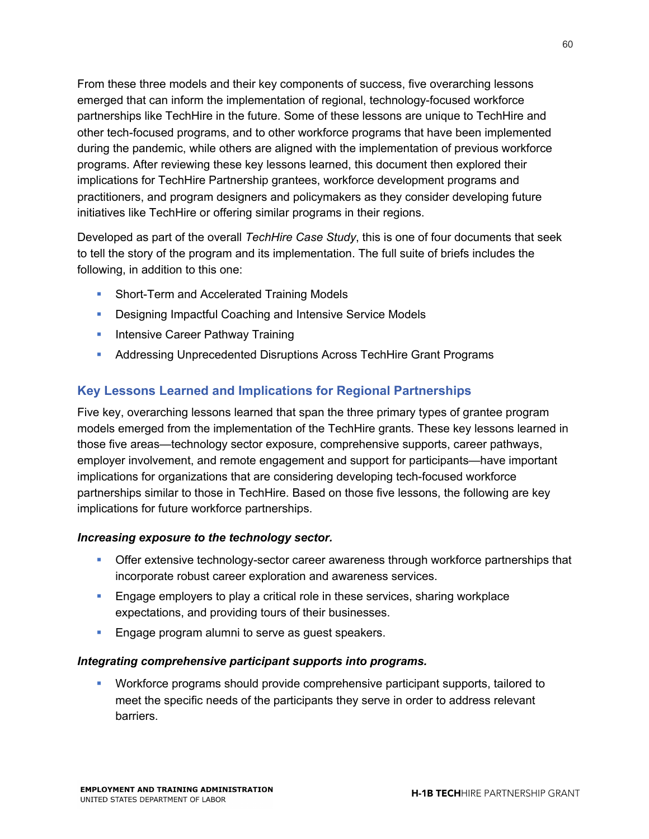From these three models and their key components of success, five overarching lessons emerged that can inform the implementation of regional, technology-focused workforce partnerships like TechHire in the future. Some of these lessons are unique to TechHire and other tech-focused programs, and to other workforce programs that have been implemented during the pandemic, while others are aligned with the implementation of previous workforce programs. After reviewing these key lessons learned, this document then explored their implications for TechHire Partnership grantees, workforce development programs and practitioners, and program designers and policymakers as they consider developing future initiatives like TechHire or offering similar programs in their regions.

Developed as part of the overall *TechHire Case Study*, this is one of four documents that seek to tell the story of the program and its implementation. The full suite of briefs includes the following, in addition to this one:

- Short-Term and Accelerated Training Models
- Designing Impactful Coaching and Intensive Service Models
- **Intensive Career Pathway Training**
- **Addressing Unprecedented Disruptions Across TechHire Grant Programs**

# **Key Lessons Learned and Implications for Regional Partnerships**

Five key, overarching lessons learned that span the three primary types of grantee program models emerged from the implementation of the TechHire grants. These key lessons learned in those five areas—technology sector exposure, comprehensive supports, career pathways, employer involvement, and remote engagement and support for participants—have important implications for organizations that are considering developing tech-focused workforce partnerships similar to those in TechHire. Based on those five lessons, the following are key implications for future workforce partnerships.

#### *Increasing exposure to the technology sector.*

- **•** Offer extensive technology-sector career awareness through workforce partnerships that incorporate robust career exploration and awareness services.
- **Engage employers to play a critical role in these services, sharing workplace** expectations, and providing tours of their businesses.
- **Engage program alumni to serve as guest speakers.**

#### *Integrating comprehensive participant supports into programs.*

§ Workforce programs should provide comprehensive participant supports, tailored to meet the specific needs of the participants they serve in order to address relevant barriers.